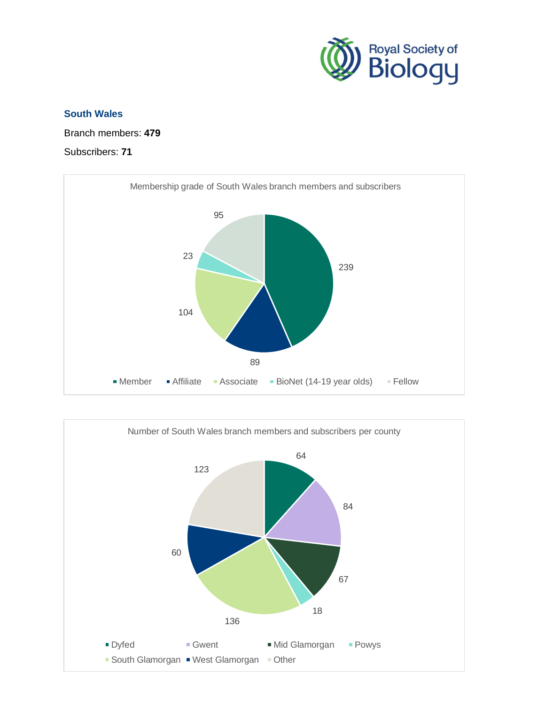

## **South Wales**

Branch members: **479**

## Subscribers: **71**



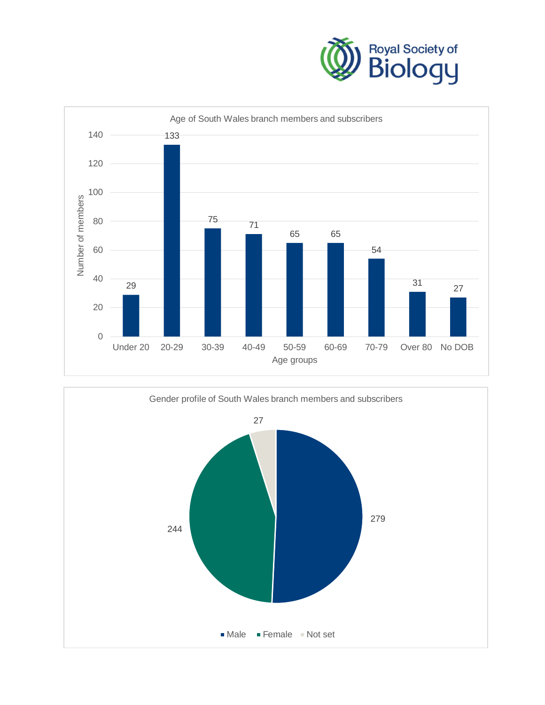



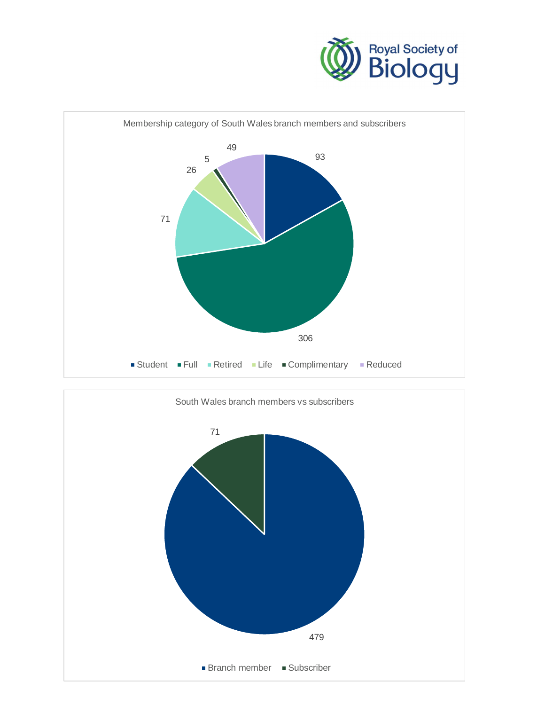



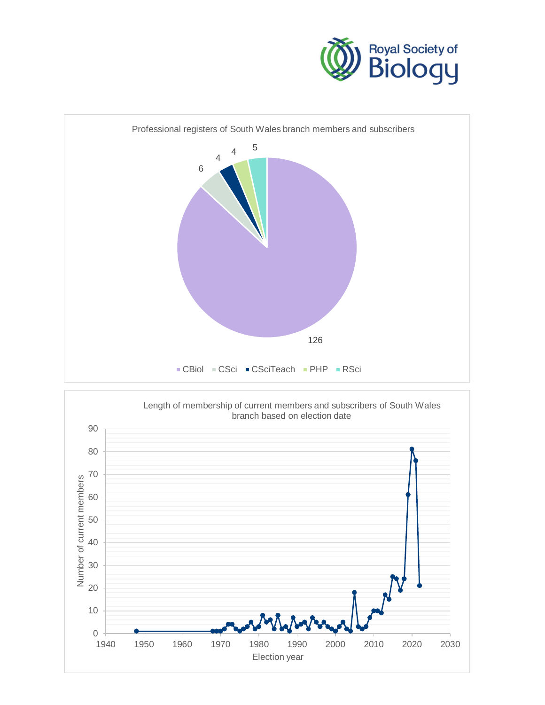